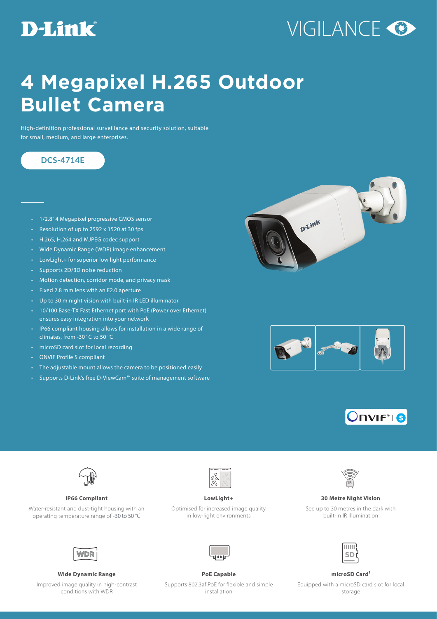## **D-Link**

# VIGILANCE<sup>O</sup>

## **4 Megapixel H.265 Outdoor Bullet Camera**

High-definition professional surveillance and security solution, suitable for small, medium, and large enterprises.

### **DCS-4714E**

- 1/2.8" 4 Megapixel progressive CMOS sensor
- Resolution of up to 2592 x 1520 at 30 fps
- H.265, H.264 and MJPEG codec support
- Wide Dynamic Range (WDR) image enhancement
- LowLight+ for superior low light performance
- Supports 2D/3D noise reduction
- Motion detection, corridor mode, and privacy mask
- Fixed 2.8 mm lens with an F2.0 aperture
- Up to 30 m night vision with built-in IR LED illuminator
- 10/100 Base-TX Fast Ethernet port with PoE (Power over Ethernet) ensures easy integration into your network
- IP66 compliant housing allows for installation in a wide range of climates, from -30 °C to 50 °C
- microSD card slot for local recording
- ONVIF Profile S compliant
- The adjustable mount allows the camera to be positioned easily
- Supports D-Link's free D-ViewCam™ suite of management software









Water-resistant and dust-tight housing with an operating temperature range of -30 to 50 °C



Optimised for increased image quality in low-light environments



### **IP66 Compliant LowLight+ 30 Metre Night Vision**

See up to 30 metres in the dark with built-in IR illumination



Improved image quality in high-contrast conditions with WDR

**Wide Dynamic Range PoE Capable microSD Card1**



Supports 802.3af PoE for flexible and simple installation

Equipped with a microSD card slot for local storage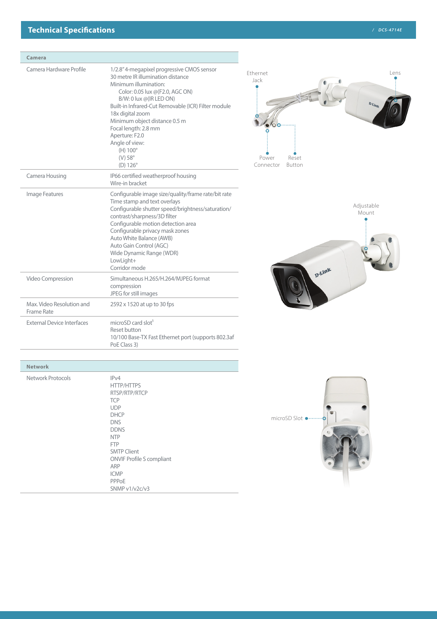### **Technical Specifications** */ DCS-4714E*

| Camera                                  |                                                                                                                                                                                                                                                                                                                                                                                                        |                                                                                                                    |
|-----------------------------------------|--------------------------------------------------------------------------------------------------------------------------------------------------------------------------------------------------------------------------------------------------------------------------------------------------------------------------------------------------------------------------------------------------------|--------------------------------------------------------------------------------------------------------------------|
| Camera Hardware Profile                 | 1/2.8" 4-megapixel progressive CMOS sensor<br>30 metre IR illumination distance<br>Minimum illumination:<br>Color: 0.05 lux @(F2.0, AGC ON)<br>B/W: 0 lux @(IR LED ON)<br>Built-in Infrared-Cut Removable (ICR) Filter module<br>18x digital zoom<br>Minimum object distance 0.5 m<br>Focal length: 2.8 mm<br>Aperture: F2.0<br>Angle of view:<br>$(H) 100^\circ$<br>$(V) 58^\circ$<br>$(D) 126^\circ$ | <b>Fthernet</b><br>Lens<br>Jack<br>$\mathbf{D}_{\text{-Lip}}$<br>Ō<br>Power<br>Reset<br>Connector<br><b>Button</b> |
| Camera Housing                          | IP66 certified weatherproof housing<br>Wire-in bracket                                                                                                                                                                                                                                                                                                                                                 |                                                                                                                    |
| Image Features                          | Configurable image size/quality/frame rate/bit rate<br>Time stamp and text overlays<br>Configurable shutter speed/brightness/saturation/<br>contrast/sharpness/3D filter<br>Configurable motion detection area<br>Configurable privacy mask zones<br>Auto White Balance (AWB)<br>Auto Gain Control (AGC)<br>Wide Dynamic Range (WDR)<br>LowLight+<br>Corridor mode                                     | Adjustable<br>Mount<br>D-Link                                                                                      |
| Video Compression                       | Simultaneous H.265/H.264/MJPEG format<br>compression<br>JPEG for still images                                                                                                                                                                                                                                                                                                                          |                                                                                                                    |
| Max. Video Resolution and<br>Frame Rate | 2592 x 1520 at up to 30 fps                                                                                                                                                                                                                                                                                                                                                                            |                                                                                                                    |
| <b>External Device Interfaces</b>       | microSD card slot <sup>1</sup><br>Reset button<br>10/100 Base-TX Fast Ethernet port (supports 802.3af<br>PoE Class 3)                                                                                                                                                                                                                                                                                  |                                                                                                                    |
| <b>Network</b>                          |                                                                                                                                                                                                                                                                                                                                                                                                        |                                                                                                                    |
| <b>Network Protocols</b>                | IPv4<br><b>HTTP/HTTPS</b>                                                                                                                                                                                                                                                                                                                                                                              |                                                                                                                    |

RTSP/RTP/RTCP

ONVIF Profile S compliant

**TCP** UDP DHCP DNS DDNS NTP FTP SMTP Client

ARP ICMP PPPoE SNMP v1/v2c/v3